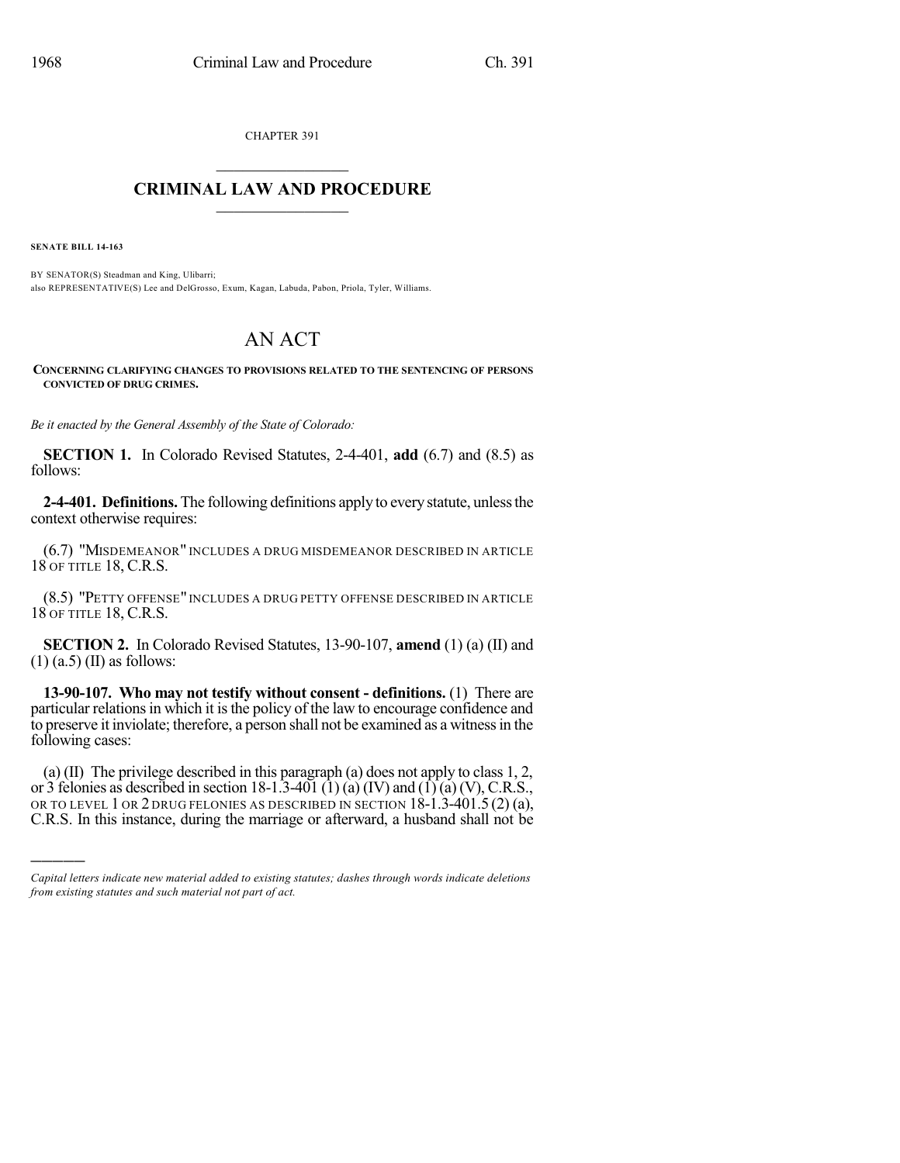CHAPTER 391

## $\mathcal{L}_\text{max}$  . The set of the set of the set of the set of the set of the set of the set of the set of the set of the set of the set of the set of the set of the set of the set of the set of the set of the set of the set **CRIMINAL LAW AND PROCEDURE**  $\frac{1}{2}$  ,  $\frac{1}{2}$  ,  $\frac{1}{2}$  ,  $\frac{1}{2}$  ,  $\frac{1}{2}$  ,  $\frac{1}{2}$  ,  $\frac{1}{2}$

**SENATE BILL 14-163**

)))))

BY SENATOR(S) Steadman and King, Ulibarri; also REPRESENTATIVE(S) Lee and DelGrosso, Exum, Kagan, Labuda, Pabon, Priola, Tyler, Williams.

## AN ACT

**CONCERNING CLARIFYING CHANGES TO PROVISIONS RELATED TO THE SENTENCING OF PERSONS CONVICTED OF DRUG CRIMES.**

*Be it enacted by the General Assembly of the State of Colorado:*

**SECTION 1.** In Colorado Revised Statutes, 2-4-401, **add** (6.7) and (8.5) as follows:

**2-4-401. Definitions.** The following definitions apply to everystatute, unlessthe context otherwise requires:

(6.7) "MISDEMEANOR" INCLUDES A DRUG MISDEMEANOR DESCRIBED IN ARTICLE 18 OF TITLE 18, C.R.S.

(8.5) "PETTY OFFENSE" INCLUDES A DRUG PETTY OFFENSE DESCRIBED IN ARTICLE 18 OF TITLE 18, C.R.S.

**SECTION 2.** In Colorado Revised Statutes, 13-90-107, **amend** (1) (a) (II) and  $(1)$  (a.5) (II) as follows:

**13-90-107. Who may not testify without consent - definitions.** (1) There are particular relations in which it is the policy of the law to encourage confidence and to preserve it inviolate; therefore, a person shall not be examined as a witnessin the following cases:

(a) (II) The privilege described in this paragraph (a) does not apply to class 1, 2, or 3 felonies as described in section 18-1.3-401 (1) (a) (IV) and (1) (a) (V), C.R.S., OR TO LEVEL 1 OR 2 DRUG FELONIES AS DESCRIBED IN SECTION 18-1.3-401.5 (2) (a), C.R.S. In this instance, during the marriage or afterward, a husband shall not be

*Capital letters indicate new material added to existing statutes; dashes through words indicate deletions from existing statutes and such material not part of act.*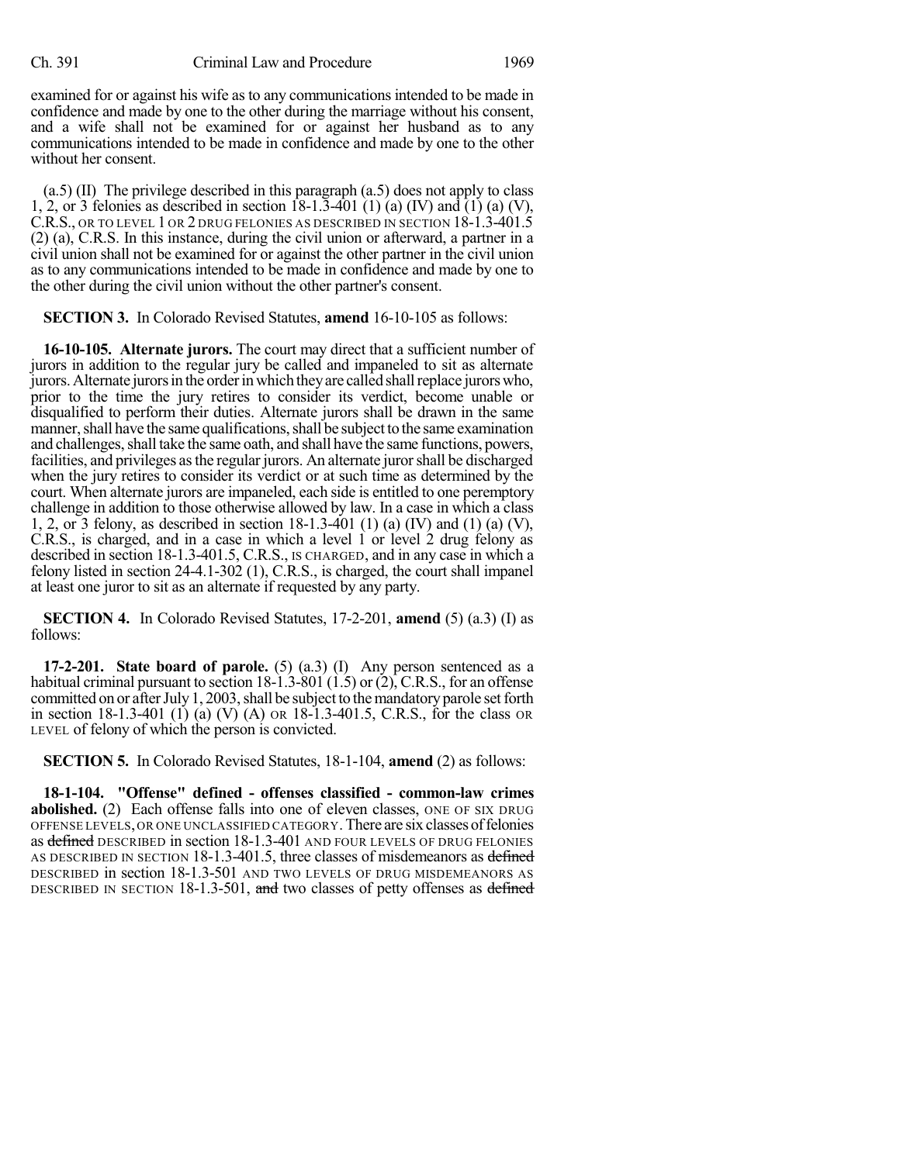examined for or against his wife as to any communications intended to be made in confidence and made by one to the other during the marriage without his consent, and a wife shall not be examined for or against her husband as to any communications intended to be made in confidence and made by one to the other without her consent.

(a.5) (II) The privilege described in this paragraph (a.5) does not apply to class 1, 2, or 3 felonies as described in section  $\hat{18-1}$ .  $\hat{3-401}$  (1) (a) (IV) and (1) (a) (V), C.R.S., OR TO LEVEL 1 OR 2 DRUG FELONIES AS DESCRIBED IN SECTION 18-1.3-401.5 (2) (a), C.R.S. In this instance, during the civil union or afterward, a partner in a civil union shall not be examined for or against the other partner in the civil union as to any communications intended to be made in confidence and made by one to the other during the civil union without the other partner's consent.

## **SECTION 3.** In Colorado Revised Statutes, **amend** 16-10-105 as follows:

**16-10-105. Alternate jurors.** The court may direct that a sufficient number of jurors in addition to the regular jury be called and impaneled to sit as alternate jurors.Alternate jurorsin the orderinwhich theyare called shallreplace jurorswho, prior to the time the jury retires to consider its verdict, become unable or disqualified to perform their duties. Alternate jurors shall be drawn in the same manner, shall have the same qualifications, shall be subject to the same examination and challenges, shall take the same oath, and shall have the same functions, powers, facilities, and privileges asthe regular jurors. An alternate jurorshall be discharged when the jury retires to consider its verdict or at such time as determined by the court. When alternate jurors are impaneled, each side is entitled to one peremptory challenge in addition to those otherwise allowed by law. In a case in which a class 1, 2, or 3 felony, as described in section 18-1.3-401 (1) (a) (IV) and (1) (a) (V), C.R.S., is charged, and in a case in which a level 1 or level 2 drug felony as described in section 18-1.3-401.5, C.R.S., IS CHARGED, and in any case in which a felony listed in section 24-4.1-302 (1), C.R.S., is charged, the court shall impanel at least one juror to sit as an alternate if requested by any party.

**SECTION 4.** In Colorado Revised Statutes, 17-2-201, **amend** (5) (a.3) (I) as follows:

**17-2-201. State board of parole.** (5) (a.3) (I) Any person sentenced as a habitual criminal pursuant to section  $18-\hat{1} \cdot \hat{3}-80\hat{1} \cdot (\hat{1} \cdot 5)$  or  $(2)$ , C.R.S., for an offense committed on or after July 1, 2003, shall be subject to the mandatory parole set forth in section 18-1.3-401 (1) (a) (V) (A) OR 18-1.3-401.5, C.R.S., for the class OR LEVEL of felony of which the person is convicted.

**SECTION 5.** In Colorado Revised Statutes, 18-1-104, **amend** (2) as follows:

**18-1-104. "Offense" defined - offenses classified - common-law crimes abolished.** (2) Each offense falls into one of eleven classes, ONE OF SIX DRUG OFFENSE LEVELS,OR ONE UNCLASSIFIED CATEGORY.There are six classesoffelonies as defined DESCRIBED in section 18-1.3-401 AND FOUR LEVELS OF DRUG FELONIES AS DESCRIBED IN SECTION 18-1.3-401.5, three classes of misdemeanors as defined DESCRIBED in section 18-1.3-501 AND TWO LEVELS OF DRUG MISDEMEANORS AS DESCRIBED IN SECTION 18-1.3-501, and two classes of petty offenses as defined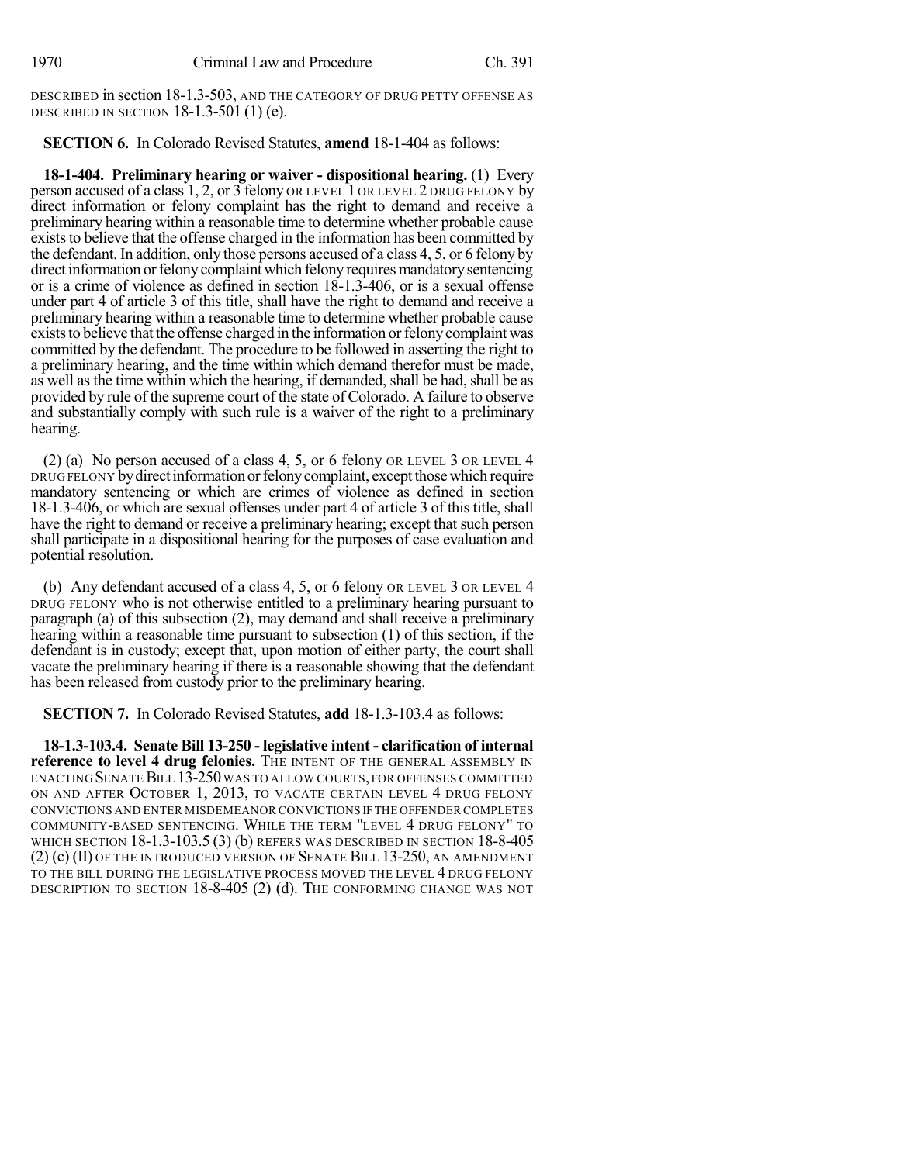DESCRIBED in section 18-1.3-503, AND THE CATEGORY OF DRUG PETTY OFFENSE AS DESCRIBED IN SECTION 18-1.3-501 (1) (e).

**SECTION 6.** In Colorado Revised Statutes, **amend** 18-1-404 as follows:

**18-1-404. Preliminary hearing or waiver - dispositional hearing.** (1) Every person accused of a class 1, 2, or 3 felony OR LEVEL 1 OR LEVEL 2 DRUG FELONY by direct information or felony complaint has the right to demand and receive a preliminary hearing within a reasonable time to determine whether probable cause exists to believe that the offense charged in the information has been committed by the defendant. In addition, only those persons accused of a class 4, 5, or 6 felony by direct information or felony complaint which felony requires mandatory sentencing or is a crime of violence as defined in section 18-1.3-406, or is a sexual offense under part 4 of article 3 of this title, shall have the right to demand and receive a preliminary hearing within a reasonable time to determine whether probable cause exists to believe that the offense charged in the information or felony complaint was committed by the defendant. The procedure to be followed in asserting the right to a preliminary hearing, and the time within which demand therefor must be made, as well as the time within which the hearing, if demanded, shall be had, shall be as provided by rule of the supreme court of the state of Colorado. A failure to observe and substantially comply with such rule is a waiver of the right to a preliminary hearing.

(2) (a) No person accused of a class 4, 5, or 6 felony OR LEVEL 3 OR LEVEL 4 DRUG FELONY by direct information or felony complaint, except those which require mandatory sentencing or which are crimes of violence as defined in section 18-1.3-406, or which are sexual offenses under part 4 of article 3 of this title, shall have the right to demand or receive a preliminary hearing; except that such person shall participate in a dispositional hearing for the purposes of case evaluation and potential resolution.

(b) Any defendant accused of a class 4, 5, or 6 felony OR LEVEL 3 OR LEVEL 4 DRUG FELONY who is not otherwise entitled to a preliminary hearing pursuant to paragraph (a) of this subsection (2), may demand and shall receive a preliminary hearing within a reasonable time pursuant to subsection (1) of this section, if the defendant is in custody; except that, upon motion of either party, the court shall vacate the preliminary hearing if there is a reasonable showing that the defendant has been released from custody prior to the preliminary hearing.

**SECTION 7.** In Colorado Revised Statutes, **add** 18-1.3-103.4 as follows:

**18-1.3-103.4. Senate Bill 13-250 - legislative intent - clarification of internal reference to level 4 drug felonies.** THE INTENT OF THE GENERAL ASSEMBLY IN ENACTING SENATE BILL 13-250 WAS TO ALLOW COURTS, FOR OFFENSES COMMITTED ON AND AFTER OCTOBER 1, 2013, TO VACATE CERTAIN LEVEL 4 DRUG FELONY CONVICTIONS AND ENTER MISDEMEANOR CONVICTIONS IFTHE OFFENDER COMPLETES COMMUNITY-BASED SENTENCING. WHILE THE TERM "LEVEL 4 DRUG FELONY" TO WHICH SECTION 18-1.3-103.5 (3) (b) REFERS WAS DESCRIBED IN SECTION 18-8-405 (2) (c) (II) OF THE INTRODUCED VERSION OF SENATE BILL 13-250, AN AMENDMENT TO THE BILL DURING THE LEGISLATIVE PROCESS MOVED THE LEVEL 4 DRUG FELONY DESCRIPTION TO SECTION 18-8-405 (2) (d). THE CONFORMING CHANGE WAS NOT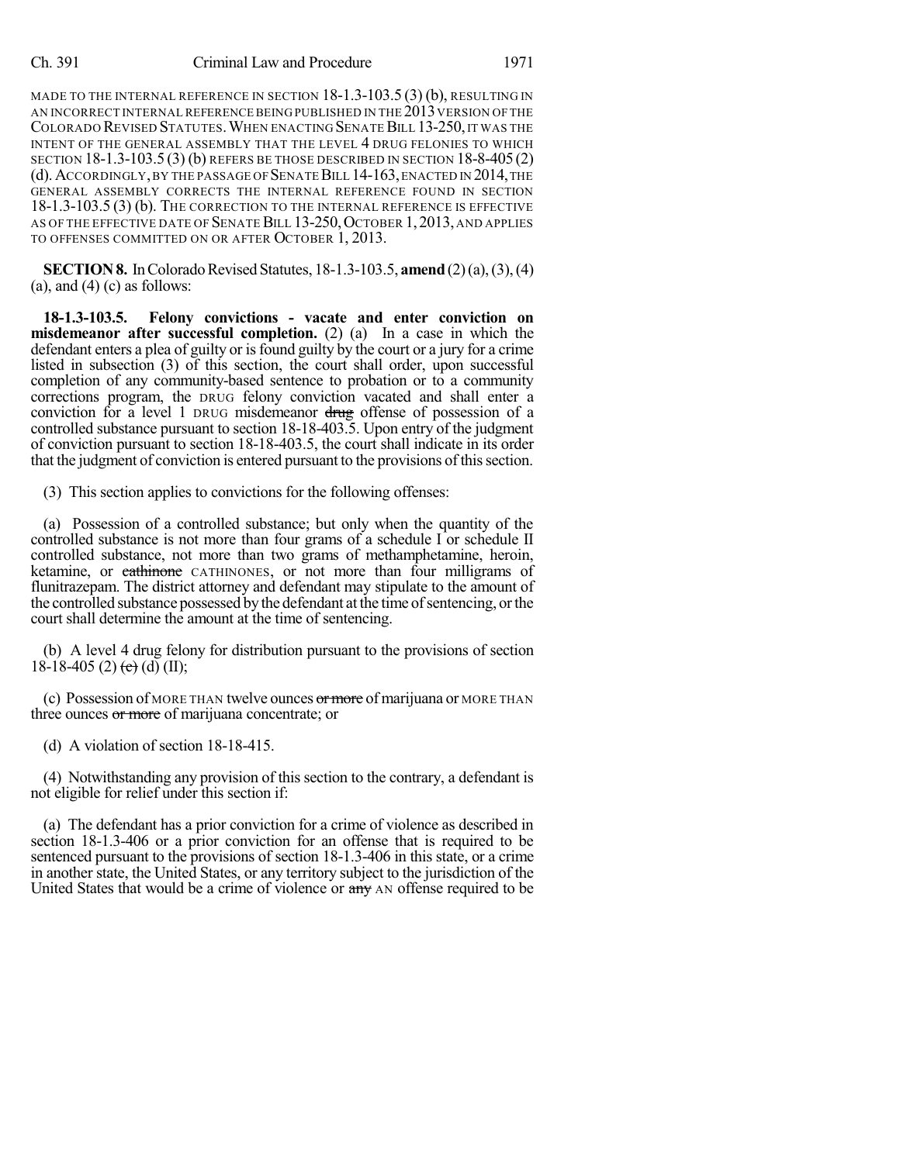MADE TO THE INTERNAL REFERENCE IN SECTION 18-1.3-103.5 (3) (b), RESULTING IN AN INCORRECT INTERNAL REFERENCE BEING PUBLISHED IN THE  $2013$  version of the COLORADO REVISED STATUTES. WHEN ENACTING SENATE BILL 13-250, IT WAS THE INTENT OF THE GENERAL ASSEMBLY THAT THE LEVEL 4 DRUG FELONIES TO WHICH SECTION 18-1.3-103.5 (3) (b) REFERS BE THOSE DESCRIBED IN SECTION 18-8-405(2) (d).ACCORDINGLY,BY THE PASSAGE OF SENATEBILL 14-163,ENACTED IN 2014,THE GENERAL ASSEMBLY CORRECTS THE INTERNAL REFERENCE FOUND IN SECTION 18-1.3-103.5 (3) (b). The correction to the internal reference is effective AS OF THE EFFECTIVE DATE OF SENATE BILL 13-250, OCTOBER 1, 2013, AND APPLIES TO OFFENSES COMMITTED ON OR AFTER OCTOBER 1, 2013.

**SECTION 8.** In Colorado Revised Statutes, 18-1.3-103.5, **amend** (2)(a), (3), (4)  $(a)$ , and  $(4)$   $(c)$  as follows:

**18-1.3-103.5. Felony convictions - vacate and enter conviction on misdemeanor after successful completion.** (2) (a) In a case in which the defendant enters a plea of guilty or isfound guilty by the court or a jury for a crime listed in subsection (3) of this section, the court shall order, upon successful completion of any community-based sentence to probation or to a community corrections program, the DRUG felony conviction vacated and shall enter a conviction for a level 1 DRUG misdemeanor drug offense of possession of a controlled substance pursuant to section 18-18-403.5. Upon entry of the judgment of conviction pursuant to section 18-18-403.5, the court shall indicate in its order that the judgment of conviction is entered pursuant to the provisions of this section.

(3) This section applies to convictions for the following offenses:

(a) Possession of a controlled substance; but only when the quantity of the controlled substance is not more than four grams of a schedule I or schedule II controlled substance, not more than two grams of methamphetamine, heroin, ketamine, or cathinone CATHINONES, or not more than four milligrams of flunitrazepam. The district attorney and defendant may stipulate to the amount of the controlled substance possessed by the defendant at the time of sentencing, or the court shall determine the amount at the time of sentencing.

(b) A level 4 drug felony for distribution pursuant to the provisions of section 18-18-405 (2) (e) (d) (II);

(c) Possession of MORE THAN twelve ounces  $\sigma$  more of marijuana or MORE THAN three ounces or more of marijuana concentrate; or

(d) A violation of section 18-18-415.

(4) Notwithstanding any provision of this section to the contrary, a defendant is not eligible for relief under this section if:

(a) The defendant has a prior conviction for a crime of violence as described in section 18-1.3-406 or a prior conviction for an offense that is required to be sentenced pursuant to the provisions of section 18-1.3-406 in this state, or a crime in another state, the United States, or any territory subject to the jurisdiction of the United States that would be a crime of violence or any AN offense required to be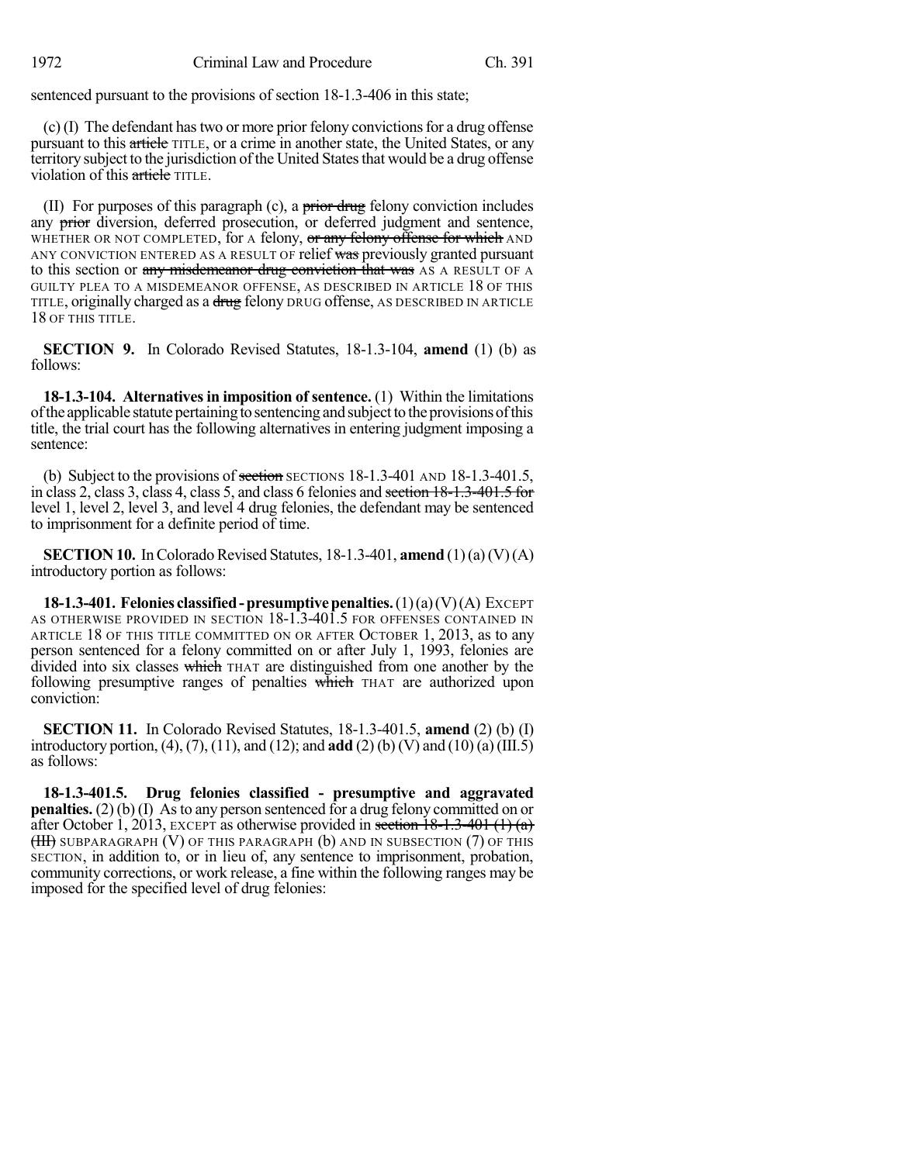sentenced pursuant to the provisions of section 18-1.3-406 in this state;

 $(c)$  (I) The defendant has two or more prior felony convictions for a drug offense pursuant to this article TITLE, or a crime in another state, the United States, or any territory subject to the jurisdiction of the United Statesthat would be a drug offense violation of this article TITLE.

(II) For purposes of this paragraph (c), a  $\frac{1}{100}$  felony conviction includes any prior diversion, deferred prosecution, or deferred judgment and sentence, WHETHER OR NOT COMPLETED, for A felony, or any felony offense for which AND ANY CONVICTION ENTERED AS A RESULT OF relief was previously granted pursuant to this section or any misdemeanor drug conviction that was AS A RESULT OF A GUILTY PLEA TO A MISDEMEANOR OFFENSE, AS DESCRIBED IN ARTICLE 18 OF THIS TITLE, originally charged as a drug felony DRUG offense, AS DESCRIBED IN ARTICLE 18 OF THIS TITLE.

**SECTION 9.** In Colorado Revised Statutes, 18-1.3-104, **amend** (1) (b) as follows:

**18-1.3-104. Alternatives in imposition of sentence.** (1) Within the limitations ofthe applicable statute pertaining to sentencing and subjectto theprovisionsofthis title, the trial court has the following alternatives in entering judgment imposing a sentence:

(b) Subject to the provisions of section SECTIONS  $18-1.3-401$  AND  $18-1.3-401.5$ , in class 2, class 3, class 4, class 5, and class 6 felonies and section 18-1.3-401.5 for level 1, level 2, level 3, and level 4 drug felonies, the defendant may be sentenced to imprisonment for a definite period of time.

**SECTION 10.** In Colorado Revised Statutes, 18-1.3-401, **amend**  $(1)(a)(V)(A)$ introductory portion as follows:

**18-1.3-401. Felonies classified-presumptivepenalties.**(1)(a)(V)(A) EXCEPT AS OTHERWISE PROVIDED IN SECTION 18-1.3-401.5 FOR OFFENSES CONTAINED IN ARTICLE 18 OF THIS TITLE COMMITTED ON OR AFTER OCTOBER 1, 2013, as to any person sentenced for a felony committed on or after July 1, 1993, felonies are divided into six classes which THAT are distinguished from one another by the following presumptive ranges of penalties which THAT are authorized upon conviction:

**SECTION 11.** In Colorado Revised Statutes, 18-1.3-401.5, **amend** (2) (b) (I) introductory portion, (4), (7), (11), and (12); and **add** (2) (b) (V) and (10) (a) (III.5) as follows:

**18-1.3-401.5. Drug felonies classified - presumptive and aggravated penalties.** (2) (b) (I) As to any person sentenced for a drug felony committed on or after October 1, 2013, EXCEPT as otherwise provided in section  $18-1.3-401$  (1) (a)  $(HH)$  SUBPARAGRAPH  $(V)$  OF THIS PARAGRAPH  $(b)$  and in subsection  $(7)$  of this SECTION, in addition to, or in lieu of, any sentence to imprisonment, probation, community corrections, or work release, a fine within the following ranges may be imposed for the specified level of drug felonies: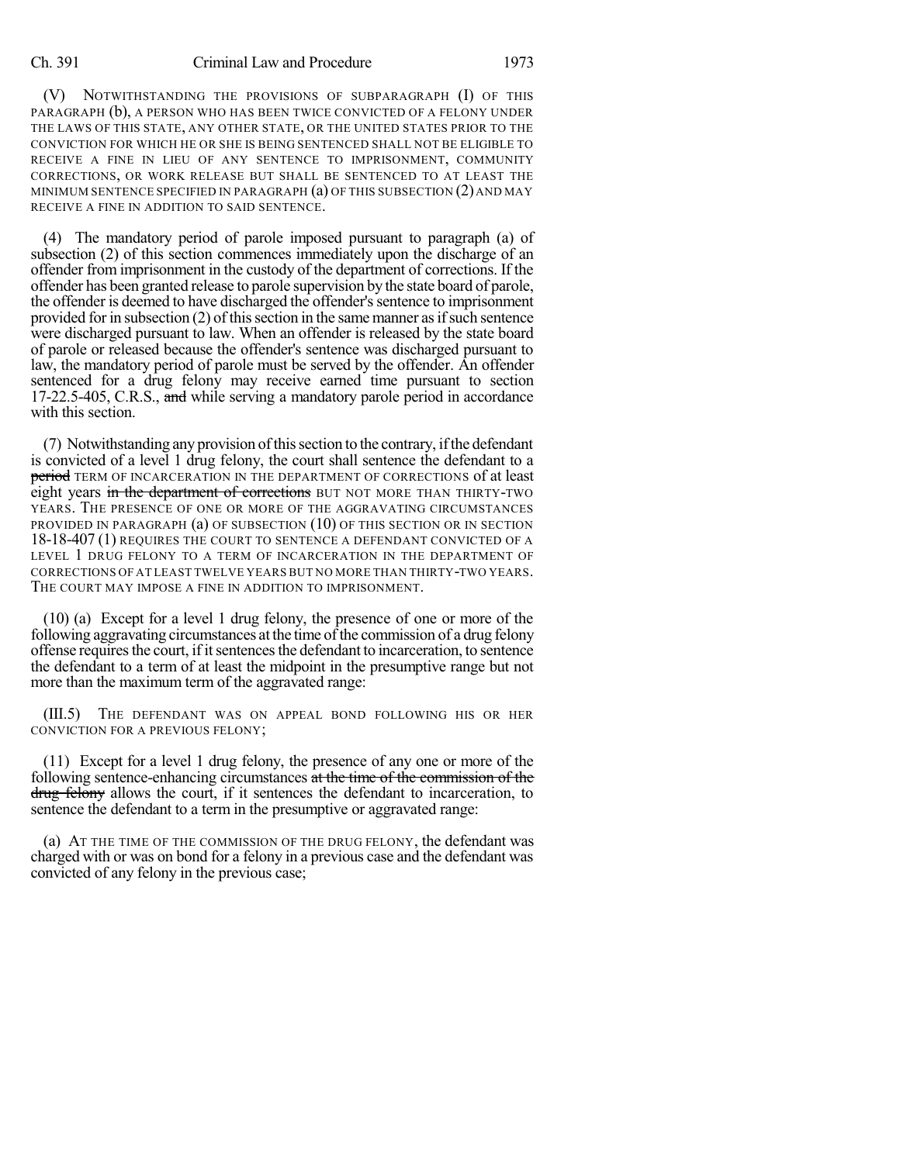## Ch. 391 Criminal Law and Procedure 1973

(V) NOTWITHSTANDING THE PROVISIONS OF SUBPARAGRAPH (I) OF THIS PARAGRAPH (b), A PERSON WHO HAS BEEN TWICE CONVICTED OF A FELONY UNDER THE LAWS OF THIS STATE, ANY OTHER STATE, OR THE UNITED STATES PRIOR TO THE CONVICTION FOR WHICH HE OR SHE IS BEING SENTENCED SHALL NOT BE ELIGIBLE TO RECEIVE A FINE IN LIEU OF ANY SENTENCE TO IMPRISONMENT, COMMUNITY CORRECTIONS, OR WORK RELEASE BUT SHALL BE SENTENCED TO AT LEAST THE MINIMUM SENTENCE SPECIFIED IN PARAGRAPH  $(a)$  of this subsection  $(2)$  and may RECEIVE A FINE IN ADDITION TO SAID SENTENCE.

(4) The mandatory period of parole imposed pursuant to paragraph (a) of subsection (2) of this section commences immediately upon the discharge of an offender from imprisonment in the custody of the department of corrections. If the offender has been granted release to parole supervision by the state board of parole, the offender is deemed to have discharged the offender'ssentence to imprisonment provided for in subsection  $(2)$  of this section in the same manner as if such sentence were discharged pursuant to law. When an offender is released by the state board of parole or released because the offender's sentence was discharged pursuant to law, the mandatory period of parole must be served by the offender. An offender sentenced for a drug felony may receive earned time pursuant to section 17-22.5-405, C.R.S., and while serving a mandatory parole period in accordance with this section.

(7) Notwithstanding any provision ofthissection to the contrary, ifthe defendant is convicted of a level 1 drug felony, the court shall sentence the defendant to a period TERM OF INCARCERATION IN THE DEPARTMENT OF CORRECTIONS of at least eight years in the department of corrections BUT NOT MORE THAN THIRTY-TWO YEARS. THE PRESENCE OF ONE OR MORE OF THE AGGRAVATING CIRCUMSTANCES PROVIDED IN PARAGRAPH (a) OF SUBSECTION (10) OF THIS SECTION OR IN SECTION 18-18-407 (1) REQUIRES THE COURT TO SENTENCE A DEFENDANT CONVICTED OF A LEVEL 1 DRUG FELONY TO A TERM OF INCARCERATION IN THE DEPARTMENT OF CORRECTIONS OF AT LEAST TWELVE YEARS BUT NO MORE THAN THIRTY-TWO YEARS. THE COURT MAY IMPOSE A FINE IN ADDITION TO IMPRISONMENT.

(10) (a) Except for a level 1 drug felony, the presence of one or more of the following aggravating circumstances at the time of the commission of a drug felony offense requiresthe court, if itsentencesthe defendant to incarceration, to sentence the defendant to a term of at least the midpoint in the presumptive range but not more than the maximum term of the aggravated range:

(III.5) THE DEFENDANT WAS ON APPEAL BOND FOLLOWING HIS OR HER CONVICTION FOR A PREVIOUS FELONY;

(11) Except for a level 1 drug felony, the presence of any one or more of the following sentence-enhancing circumstances at the time of the commission of the drug felony allows the court, if it sentences the defendant to incarceration, to sentence the defendant to a term in the presumptive or aggravated range:

(a) AT THE TIME OF THE COMMISSION OF THE DRUG FELONY, the defendant was charged with or was on bond for a felony in a previous case and the defendant was convicted of any felony in the previous case;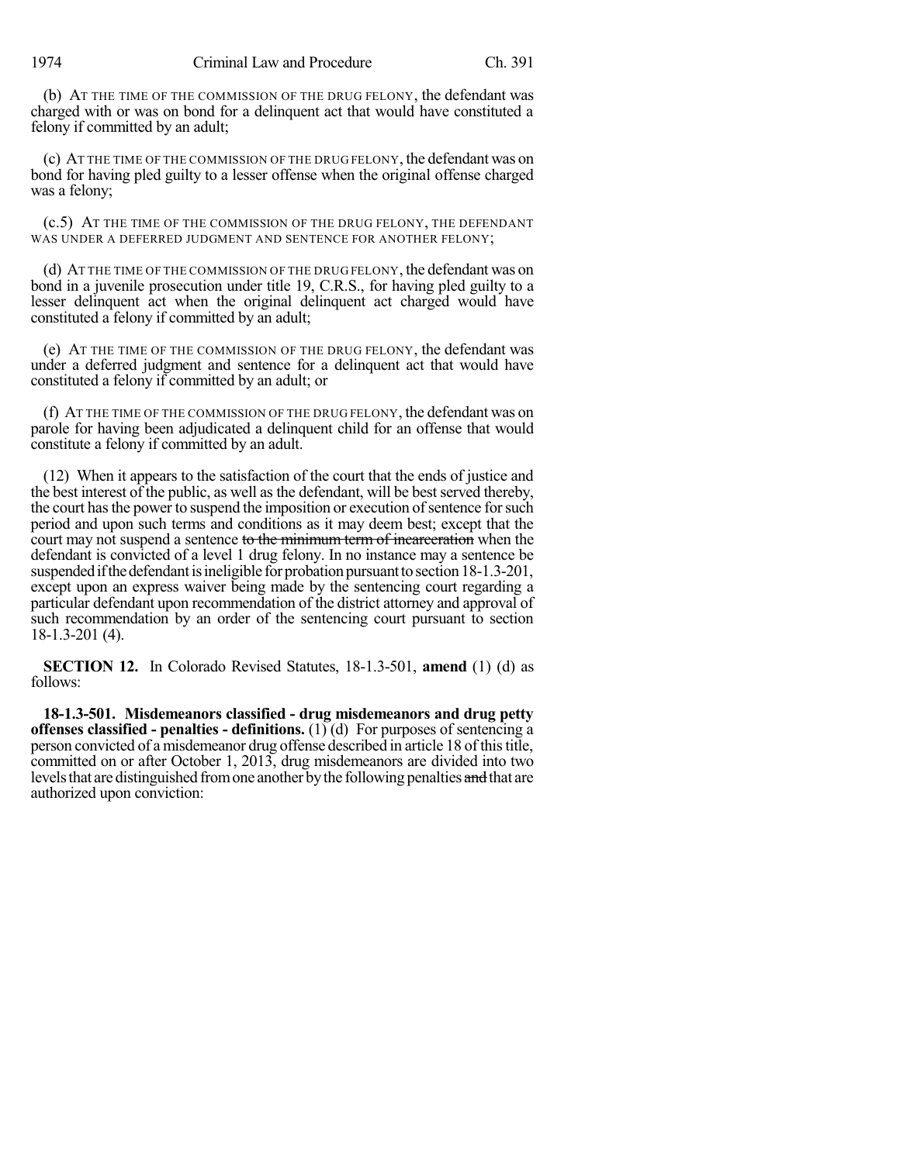1974 Criminal Law and Procedure Ch. 391

(b) AT THE TIME OF THE COMMISSION OF THE DRUG FELONY, the defendant was charged with or was on bond for a delinquent act that would have constituted a felony if committed by an adult;

(c) AT THE TIME OF THE COMMISSION OF THE DRUG FELONY, the defendant was on bond for having pled guilty to a lesser offense when the original offense charged was a felony;

(c.5) AT THE TIME OF THE COMMISSION OF THE DRUG FELONY, THE DEFENDANT WAS UNDER A DEFERRED JUDGMENT AND SENTENCE FOR ANOTHER FELONY;

(d) AT THE TIME OF THE COMMISSION OF THE DRUG FELONY, the defendant was on bond in a juvenile prosecution under title 19, C.R.S., for having pled guilty to a lesser delinquent act when the original delinquent act charged would have constituted a felony if committed by an adult;

(e) AT THE TIME OF THE COMMISSION OF THE DRUG FELONY, the defendant was under a deferred judgment and sentence for a delinquent act that would have constituted a felony if committed by an adult; or

(f) AT THE TIME OF THE COMMISSION OF THE DRUG FELONY, the defendant was on parole for having been adjudicated a delinquent child for an offense that would constitute a felony if committed by an adult.

(12) When it appears to the satisfaction of the court that the ends of justice and the best interest of the public, as well as the defendant, will be best served thereby, the court has the power to suspend the imposition or execution of sentence for such period and upon such terms and conditions as it may deem best; except that the court may not suspend a sentence to the minimum term of incarceration when the defendant is convicted of a level 1 drug felony. In no instance may a sentence be suspended if the defendant is ineligible for probation pursuant to section 18-1.3-201, except upon an express waiver being made by the sentencing court regarding a particular defendant upon recommendation of the district attorney and approval of such recommendation by an order of the sentencing court pursuant to section 18-1.3-201 (4).

**SECTION 12.** In Colorado Revised Statutes, 18-1.3-501, **amend** (1) (d) as follows:

**18-1.3-501. Misdemeanors classified - drug misdemeanors and drug petty offenses classified - penalties - definitions.** (1) (d) For purposes of sentencing a person convicted of a misdemeanor drug offense described in article 18 of thistitle, committed on or after October 1, 2013, drug misdemeanors are divided into two levels that are distinguished from one another by the following penalties and that are authorized upon conviction: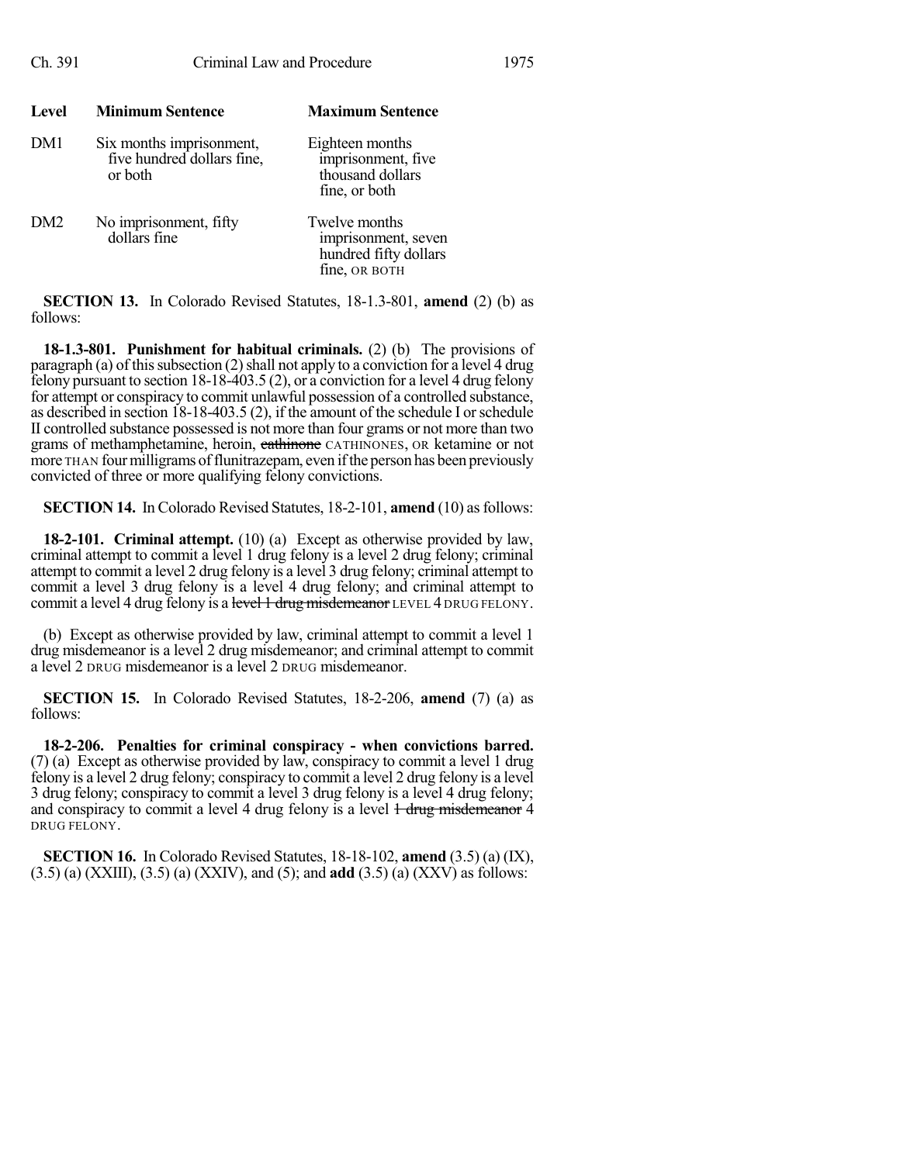| <b>Level</b>    | <b>Minimum Sentence</b>                                           | <b>Maximum Sentence</b>                                                        |
|-----------------|-------------------------------------------------------------------|--------------------------------------------------------------------------------|
| DM1             | Six months imprisonment,<br>five hundred dollars fine,<br>or both | Eighteen months<br>imprisonment, five<br>thousand dollars<br>fine, or both     |
| DM <sub>2</sub> | No imprisonment, fifty<br>dollars fine                            | Twelve months<br>imprisonment, seven<br>hundred fifty dollars<br>fine, OR BOTH |

**SECTION 13.** In Colorado Revised Statutes, 18-1.3-801, **amend** (2) (b) as follows:

**18-1.3-801. Punishment for habitual criminals.** (2) (b) The provisions of paragraph (a) of this subsection  $(2)$  shall not apply to a conviction for a level 4 drug felony pursuant to section 18-18-403.5 (2), or a conviction for a level 4 drug felony for attempt or conspiracy to commit unlawful possession of a controlled substance, as described in section 18-18-403.5 (2), if the amount of the schedule I orschedule II controlled substance possessed is not more than four grams or not more than two grams of methamphetamine, heroin, eathinone CATHINONES, OR ketamine or not more THAN four milligrams of flunitrazepam, even if the person has been previously convicted of three or more qualifying felony convictions.

**SECTION 14.** In Colorado Revised Statutes, 18-2-101, **amend** (10) as follows:

**18-2-101. Criminal attempt.** (10) (a) Except as otherwise provided by law, criminal attempt to commit a level 1 drug felony is a level 2 drug felony; criminal attempt to commit a level 2 drug felony is a level 3 drug felony; criminal attempt to commit a level 3 drug felony is a level 4 drug felony; and criminal attempt to commit a level 4 drug felony is a level 1 drug misdemeanor LEVEL 4 DRUG FELONY.

(b) Except as otherwise provided by law, criminal attempt to commit a level 1 drug misdemeanor is a level 2 drug misdemeanor; and criminal attempt to commit a level 2 DRUG misdemeanor is a level 2 DRUG misdemeanor.

**SECTION 15.** In Colorado Revised Statutes, 18-2-206, **amend** (7) (a) as follows:

**18-2-206. Penalties for criminal conspiracy - when convictions barred.** (7) (a) Except as otherwise provided by law, conspiracy to commit a level 1 drug felony is a level 2 drug felony; conspiracy to commit a level 2 drug felony is a level 3 drug felony; conspiracy to commit a level 3 drug felony is a level 4 drug felony; and conspiracy to commit a level 4 drug felony is a level  $\frac{1}{1}$  drug misdemeanor 4 DRUG FELONY.

**SECTION 16.** In Colorado Revised Statutes, 18-18-102, **amend** (3.5) (a) (IX), (3.5) (a) (XXIII), (3.5) (a) (XXIV), and (5); and **add** (3.5) (a) (XXV) as follows: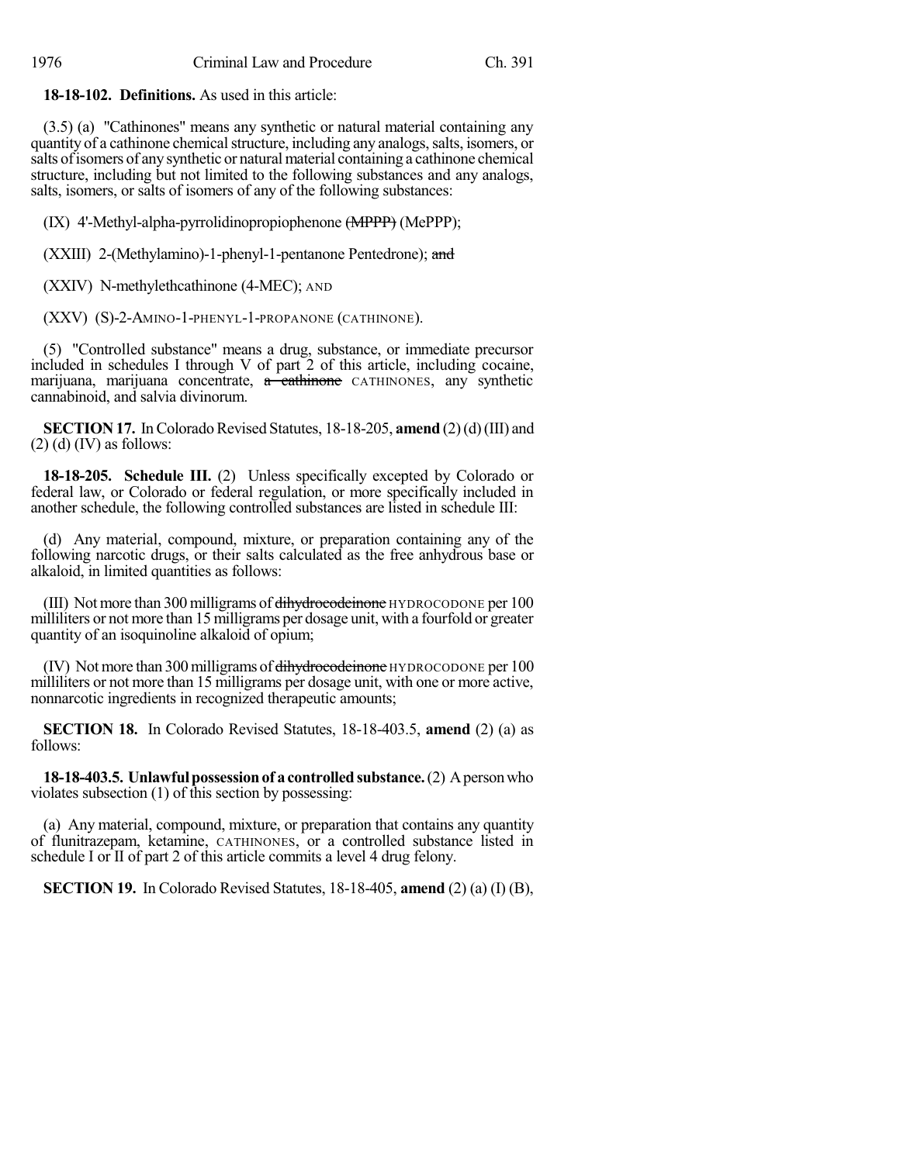**18-18-102. Definitions.** As used in this article:

(3.5) (a) "Cathinones" means any synthetic or natural material containing any quantity of a cathinone chemical structure, including any analogs, salts, isomers, or salts of isomers of any synthetic or natural material containing a cathinone chemical structure, including but not limited to the following substances and any analogs, salts, isomers, or salts of isomers of any of the following substances:

(IX) 4'-Methyl-alpha-pyrrolidinopropiophenone (MPPP) (MePPP);

(XXIII) 2-(Methylamino)-1-phenyl-1-pentanone Pentedrone); and

(XXIV) N-methylethcathinone (4-MEC); AND

(XXV) (S)-2-AMINO-1-PHENYL-1-PROPANONE (CATHINONE).

(5) "Controlled substance" means a drug, substance, or immediate precursor included in schedules I through V of part 2 of this article, including cocaine, marijuana, marijuana concentrate, a cathinone CATHINONES, any synthetic cannabinoid, and salvia divinorum.

**SECTION 17.** In Colorado Revised Statutes, 18-18-205, **amend** (2)(d)(III) and  $(2)$  (d) (IV) as follows:

**18-18-205. Schedule III.** (2) Unless specifically excepted by Colorado or federal law, or Colorado or federal regulation, or more specifically included in another schedule, the following controlled substances are listed in schedule III:

(d) Any material, compound, mixture, or preparation containing any of the following narcotic drugs, or their salts calculated as the free anhydrous base or alkaloid, in limited quantities as follows:

(III) Not more than 300 milligrams of  $\frac{div}{dv}$  diverged than HYDROCODONE per 100 milliliters or not more than 15 milligrams per dosage unit, with a fourfold or greater quantity of an isoquinoline alkaloid of opium;

(IV) Not more than 300 milligrams of dihydrocodeinone HYDROCODONE per 100 milliliters or not more than 15 milligrams per dosage unit, with one or more active, nonnarcotic ingredients in recognized therapeutic amounts;

**SECTION 18.** In Colorado Revised Statutes, 18-18-403.5, **amend** (2) (a) as follows:

**18-18-403.5. Unlawful possession of a controlled substance.** (2) A person who violates subsection (1) of this section by possessing:

(a) Any material, compound, mixture, or preparation that contains any quantity of flunitrazepam, ketamine, CATHINONES, or a controlled substance listed in schedule I or II of part 2 of this article commits a level 4 drug felony.

**SECTION 19.** In Colorado Revised Statutes, 18-18-405, **amend** (2) (a) (I) (B),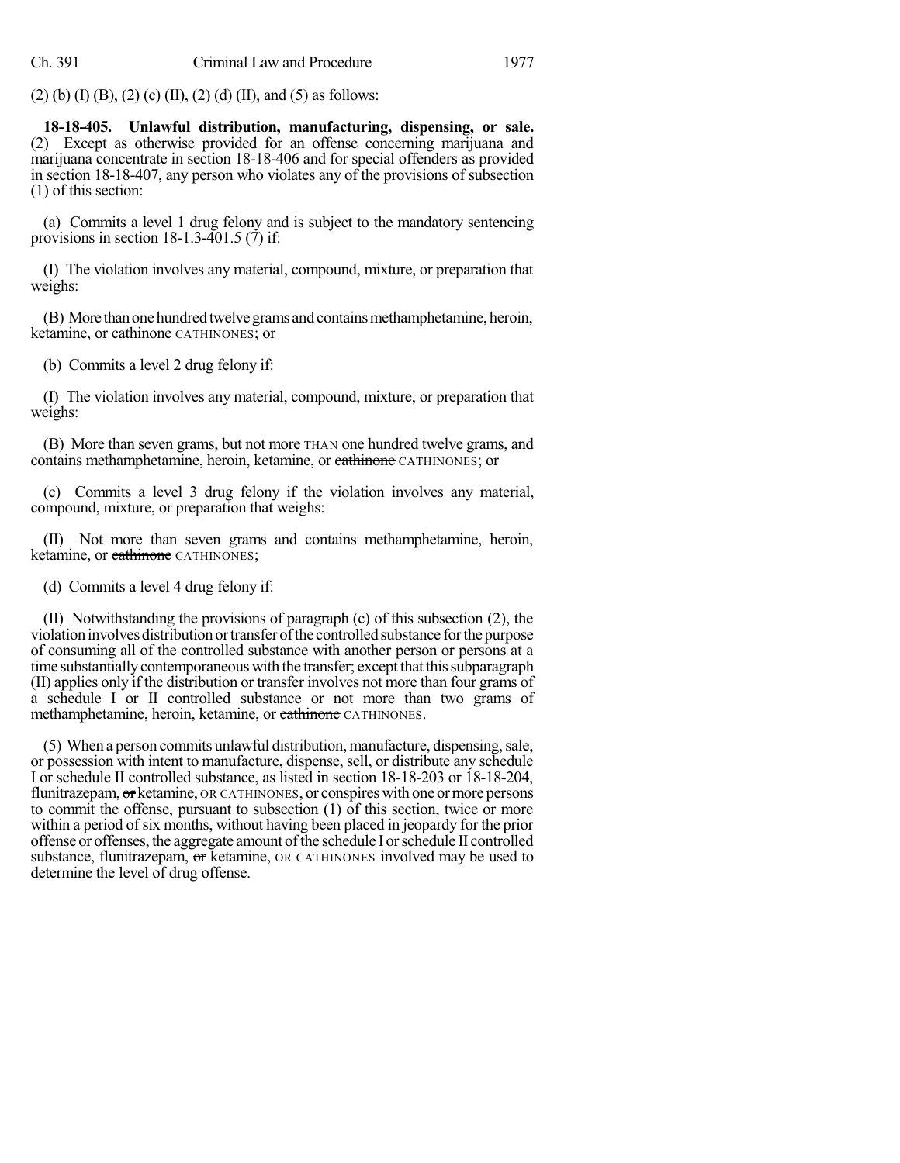$(2)$  (b) (I) (B), (2) (c) (II), (2) (d) (II), and (5) as follows:

**18-18-405. Unlawful distribution, manufacturing, dispensing, or sale.** (2) Except as otherwise provided for an offense concerning marijuana and marijuana concentrate in section 18-18-406 and for special offenders as provided in section 18-18-407, any person who violates any of the provisions of subsection (1) of this section:

(a) Commits a level 1 drug felony and is subject to the mandatory sentencing provisions in section  $18-1.3-401.5$  (7) if:

(I) The violation involves any material, compound, mixture, or preparation that weighs:

(B) More than one hundred twelve grams and contains methamphetamine, heroin, ketamine, or cathinone CATHINONES; or

(b) Commits a level 2 drug felony if:

(I) The violation involves any material, compound, mixture, or preparation that weighs:

(B) More than seven grams, but not more THAN one hundred twelve grams, and contains methamphetamine, heroin, ketamine, or cathinone CATHINONES; or

(c) Commits a level 3 drug felony if the violation involves any material, compound, mixture, or preparation that weighs:

(II) Not more than seven grams and contains methamphetamine, heroin, ketamine, or cathinone CATHINONES;

(d) Commits a level 4 drug felony if:

(II) Notwithstanding the provisions of paragraph (c) of this subsection (2), the violation involves distribution or transfer of the controlled substance for the purpose of consuming all of the controlled substance with another person or persons at a time substantially contemporaneous with the transfer; except that this subparagraph (II) applies only if the distribution or transfer involves not more than four grams of a schedule I or II controlled substance or not more than two grams of methamphetamine, heroin, ketamine, or cathinone CATHINONES.

(5) When a person commits unlawful distribution, manufacture, dispensing, sale, or possession with intent to manufacture, dispense, sell, or distribute any schedule I or schedule II controlled substance, as listed in section 18-18-203 or 18-18-204, flunitrazepam, or ketamine, OR CATHINONES, or conspires with one or more persons to commit the offense, pursuant to subsection (1) of this section, twice or more within a period of six months, without having been placed in jeopardy for the prior offense or offenses, the aggregate amount ofthe schedule I orschedule II controlled substance, flunitrazepam, or ketamine, OR CATHINONES involved may be used to determine the level of drug offense.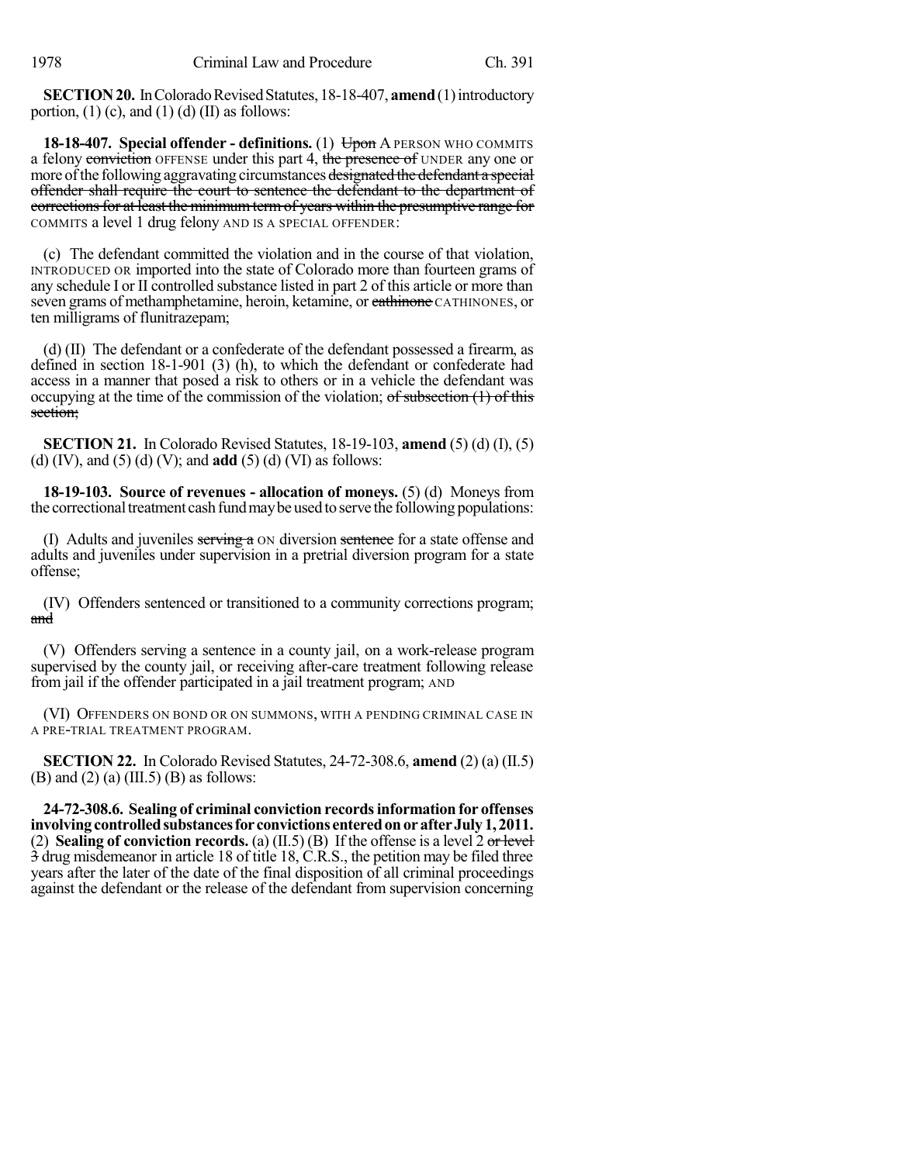**SECTION 20.** In Colorado Revised Statutes, 18-18-407, **amend** (1) introductory portion,  $(1)$  (c), and  $(1)$  (d)  $(II)$  as follows:

**18-18-407.** Special offender - definitions. (1) Upon A PERSON WHO COMMITS a felony conviction OFFENSE under this part 4, the presence of UNDER any one or more of the following aggravating circumstances designated the defendant a special offender shall require the court to sentence the defendant to the department of corrections for at least the minimum term of years within the presumptive range for COMMITS a level 1 drug felony AND IS A SPECIAL OFFENDER:

(c) The defendant committed the violation and in the course of that violation, INTRODUCED OR imported into the state of Colorado more than fourteen grams of any schedule I or II controlled substance listed in part 2 of this article or more than seven grams of methamphetamine, heroin, ketamine, or eathinone CATHINONES, or ten milligrams of flunitrazepam;

(d) (II) The defendant or a confederate of the defendant possessed a firearm, as defined in section 18-1-901 (3) (h), to which the defendant or confederate had access in a manner that posed a risk to others or in a vehicle the defendant was occupying at the time of the commission of the violation; of subsection (1) of this section;

**SECTION 21.** In Colorado Revised Statutes, 18-19-103, **amend** (5) (d) (I), (5) (d) (IV), and (5) (d) (V); and **add** (5) (d) (VI) as follows:

**18-19-103. Source of revenues - allocation of moneys.** (5) (d) Moneys from the correctional treatment cash fund may be used to serve the following populations:

(I) Adults and juveniles  $\frac{1}{\sqrt{2}}$  a  $\frac{1}{\sqrt{2}}$  on diversion sentence for a state offense and adults and juveniles under supervision in a pretrial diversion program for a state offense;

(IV) Offenders sentenced or transitioned to a community corrections program; and

(V) Offenders serving a sentence in a county jail, on a work-release program supervised by the county jail, or receiving after-care treatment following release from jail if the offender participated in a jail treatment program; AND

(VI) OFFENDERS ON BOND OR ON SUMMONS, WITH A PENDING CRIMINAL CASE IN A PRE-TRIAL TREATMENT PROGRAM.

**SECTION 22.** In Colorado Revised Statutes, 24-72-308.6, **amend** (2) (a) (II.5)  $(B)$  and  $(2)$   $(a)$   $(III.5)$   $(B)$  as follows:

**24-72-308.6. Sealing of criminal conviction recordsinformation for offenses involvingcontrolledsubstancesfor convictions enteredonorafterJuly1, 2011.** (2) **Sealing of conviction records.** (a) (II.5) (B) If the offense is a level 2 or level 3 drug misdemeanor in article 18 of title 18, C.R.S., the petition may be filed three years after the later of the date of the final disposition of all criminal proceedings against the defendant or the release of the defendant from supervision concerning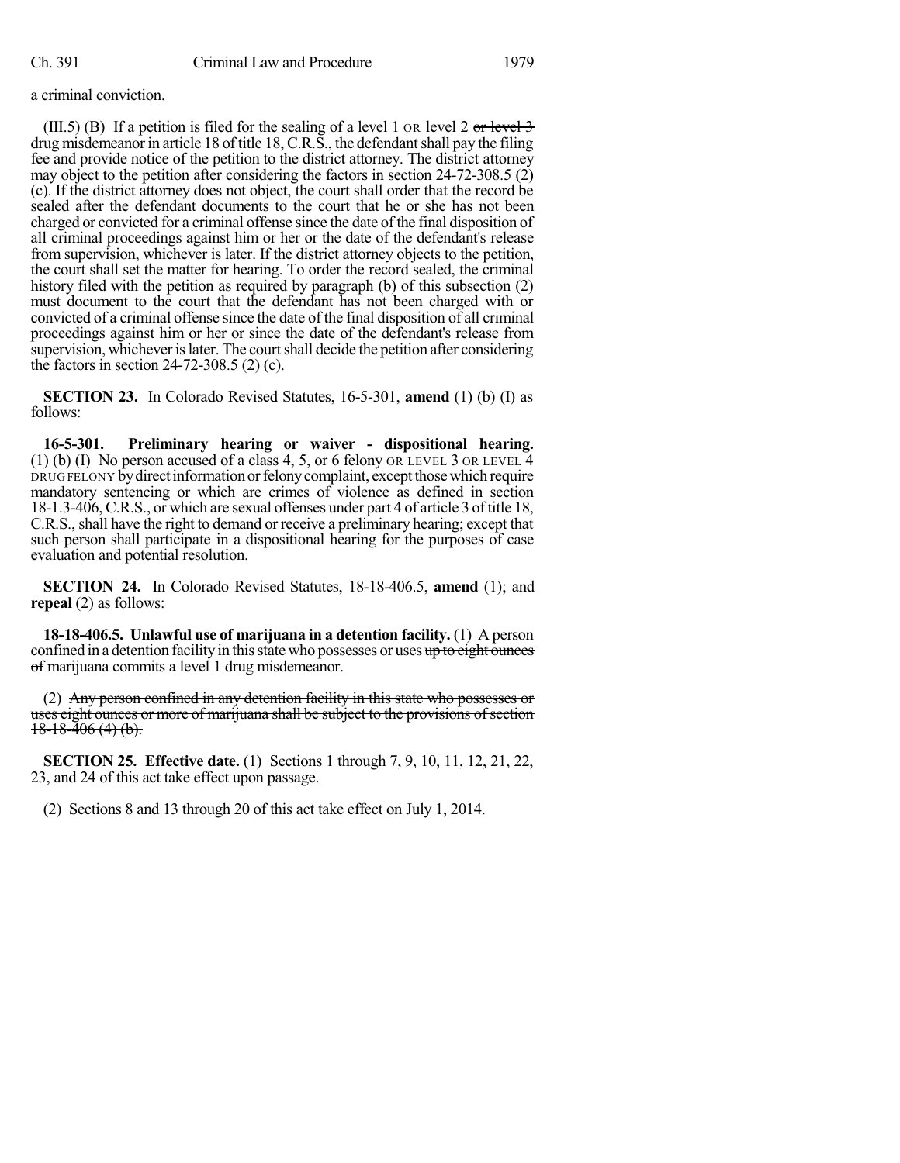a criminal conviction.

(III.5) (B) If a petition is filed for the sealing of a level 1 or level 2 or level 3 drug misdemeanor in article 18 of title 18, C.R.S., the defendant shall pay the filing fee and provide notice of the petition to the district attorney. The district attorney may object to the petition after considering the factors in section 24-72-308.5 (2) (c). If the district attorney does not object, the court shall order that the record be sealed after the defendant documents to the court that he or she has not been charged or convicted for a criminal offense since the date of the final disposition of all criminal proceedings against him or her or the date of the defendant's release from supervision, whichever is later. If the district attorney objects to the petition, the court shall set the matter for hearing. To order the record sealed, the criminal history filed with the petition as required by paragraph (b) of this subsection (2) must document to the court that the defendant has not been charged with or convicted of a criminal offense since the date of the final disposition of all criminal proceedings against him or her or since the date of the defendant's release from supervision, whichever is later. The court shall decide the petition after considering the factors in section 24-72-308.5 (2) (c).

**SECTION 23.** In Colorado Revised Statutes, 16-5-301, **amend** (1) (b) (I) as follows:

**16-5-301. Preliminary hearing or waiver - dispositional hearing.** (1) (b) (I) No person accused of a class 4, 5, or 6 felony OR LEVEL 3 OR LEVEL  $\overline{4}$ DRUG FELONY by direct information or felony complaint, except those which require mandatory sentencing or which are crimes of violence as defined in section 18-1.3-406, C.R.S., or which are sexual offenses under part 4 of article 3 oftitle 18, C.R.S., shall have the right to demand or receive a preliminary hearing; except that such person shall participate in a dispositional hearing for the purposes of case evaluation and potential resolution.

**SECTION 24.** In Colorado Revised Statutes, 18-18-406.5, **amend** (1); and **repeal** (2) as follows:

**18-18-406.5. Unlawful use of marijuana in a detention facility.** (1) A person confined in a detention facility in this state who possesses or uses up to eight ounces of marijuana commits a level 1 drug misdemeanor.

(2) Any person confined in any detention facility in this state who possesses or uses eight ounces or more of marijuana shall be subject to the provisions of section  $18-18-406(4)(b)$ .

**SECTION 25. Effective date.** (1) Sections 1 through 7, 9, 10, 11, 12, 21, 22, 23, and 24 of this act take effect upon passage.

(2) Sections 8 and 13 through 20 of this act take effect on July 1, 2014.